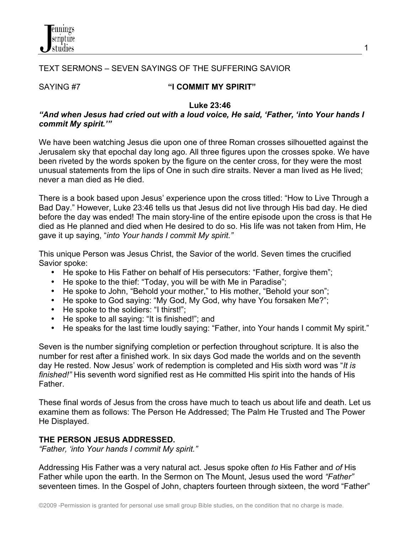

# TEXT SERMONS – SEVEN SAYINGS OF THE SUFFERING SAVIOR

# SAYING #7 **"I COMMIT MY SPIRIT"**

#### **Luke 23:46**

### *"And when Jesus had cried out with a loud voice, He said, 'Father, 'into Your hands I commit My spirit.'"*

We have been watching Jesus die upon one of three Roman crosses silhouetted against the Jerusalem sky that epochal day long ago. All three figures upon the crosses spoke. We have been riveted by the words spoken by the figure on the center cross, for they were the most unusual statements from the lips of One in such dire straits. Never a man lived as He lived; never a man died as He died.

There is a book based upon Jesus' experience upon the cross titled: "How to Live Through a Bad Day." However, Luke 23:46 tells us that Jesus did not live through His bad day. He died before the day was ended! The main story-line of the entire episode upon the cross is that He died as He planned and died when He desired to do so. His life was not taken from Him, He gave it up saying, "*into Your hands I commit My spirit."*

This unique Person was Jesus Christ, the Savior of the world. Seven times the crucified Savior spoke:

- He spoke to His Father on behalf of His persecutors: "Father, forgive them";
- He spoke to the thief: "Today, you will be with Me in Paradise";
- He spoke to John, "Behold your mother," to His mother, "Behold your son";
- He spoke to God saying: "My God, My God, why have You forsaken Me?";
- He spoke to the soldiers: "I thirst!";
- He spoke to all saying: "It is finished!"; and
- He speaks for the last time loudly saying: "Father, into Your hands I commit My spirit."

Seven is the number signifying completion or perfection throughout scripture. It is also the number for rest after a finished work. In six days God made the worlds and on the seventh day He rested. Now Jesus' work of redemption is completed and His sixth word was "*It is finished!"* His seventh word signified rest as He committed His spirit into the hands of His **Father** 

These final words of Jesus from the cross have much to teach us about life and death. Let us examine them as follows: The Person He Addressed; The Palm He Trusted and The Power He Displayed.

## **THE PERSON JESUS ADDRESSED.**

*"Father, 'into Your hands I commit My spirit."*

Addressing His Father was a very natural act. Jesus spoke often *to* His Father and *of* His Father while upon the earth. In the Sermon on The Mount, Jesus used the word *"Father"*  seventeen times. In the Gospel of John, chapters fourteen through sixteen, the word "Father"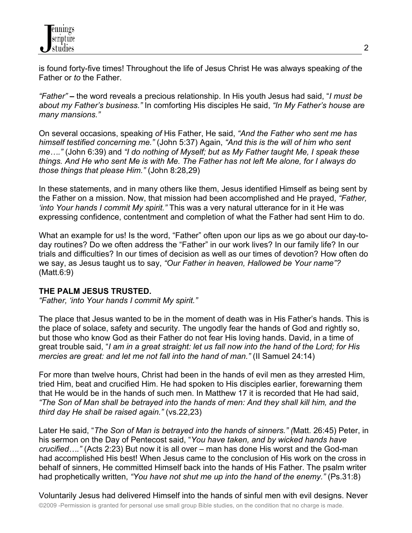is found forty-five times! Throughout the life of Jesus Christ He was always speaking *of* the Father or *to* the Father.

*"Father"* **–** the word reveals a precious relationship. In His youth Jesus had said, "*I must be about my Father's business."* In comforting His disciples He said, *"In My Father's house are many mansions."* 

On several occasions, speaking *of* His Father, He said, *"And the Father who sent me has himself testified concerning me."* (John 5:37) Again, *"And this is the will of him who sent me…."* (John 6:39) and *"I do nothing of Myself; but as My Father taught Me, I speak these things. And He who sent Me is with Me. The Father has not left Me alone, for I always do those things that please Him."* (John 8:28,29)

In these statements, and in many others like them, Jesus identified Himself as being sent by the Father on a mission. Now, that mission had been accomplished and He prayed, *"Father, 'into Your hands I commit My spirit."* This was a very natural utterance for in it He was expressing confidence, contentment and completion of what the Father had sent Him to do.

What an example for us! Is the word, "Father" often upon our lips as we go about our day-today routines? Do we often address the "Father" in our work lives? In our family life? In our trials and difficulties? In our times of decision as well as our times of devotion? How often do we say, as Jesus taught us to say, *"Our Father in heaven, Hallowed be Your name"?* (Matt.6:9)

# **THE PALM JESUS TRUSTED.**

*"Father, 'into Your hands I commit My spirit."*

The place that Jesus wanted to be in the moment of death was in His Father's hands. This is the place of solace, safety and security. The ungodly fear the hands of God and rightly so, but those who know God as their Father do not fear His loving hands. David, in a time of great trouble said, "*I am in a great straight: let us fall now into the hand of the Lord; for His mercies are great: and let me not fall into the hand of man."* (II Samuel 24:14)

For more than twelve hours, Christ had been in the hands of evil men as they arrested Him, tried Him, beat and crucified Him. He had spoken to His disciples earlier, forewarning them that He would be in the hands of such men. In Matthew 17 it is recorded that He had said, *"The Son of Man shall be betrayed into the hands of men: And they shall kill him, and the third day He shall be raised again."* (vs.22,23)

Later He said, "*The Son of Man is betrayed into the hands of sinners." (*Matt. 26:45) Peter, in his sermon on the Day of Pentecost said, "*You have taken, and by wicked hands have crucified…."* (Acts 2:23) But now it is all over – man has done His worst and the God-man had accomplished His best! When Jesus came to the conclusion of His work on the cross in behalf of sinners, He committed Himself back into the hands of His Father. The psalm writer had prophetically written, *"You have not shut me up into the hand of the enemy."* (Ps.31:8)

©2009 -Permission is granted for personal use small group Bible studies, on the condition that no charge is made. Voluntarily Jesus had delivered Himself into the hands of sinful men with evil designs. Never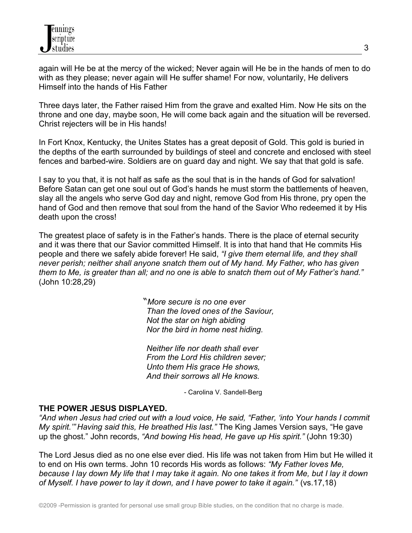again will He be at the mercy of the wicked; Never again will He be in the hands of men to do with as they please; never again will He suffer shame! For now, voluntarily, He delivers Himself into the hands of His Father

Three days later, the Father raised Him from the grave and exalted Him. Now He sits on the throne and one day, maybe soon, He will come back again and the situation will be reversed. Christ rejecters will be in His hands!

In Fort Knox, Kentucky, the Unites States has a great deposit of Gold. This gold is buried in the depths of the earth surrounded by buildings of steel and concrete and enclosed with steel fences and barbed-wire. Soldiers are on guard day and night. We say that that gold is safe.

I say to you that, it is not half as safe as the soul that is in the hands of God for salvation! Before Satan can get one soul out of God's hands he must storm the battlements of heaven, slay all the angels who serve God day and night, remove God from His throne, pry open the hand of God and then remove that soul from the hand of the Savior Who redeemed it by His death upon the cross!

The greatest place of safety is in the Father's hands. There is the place of eternal security and it was there that our Savior committed Himself. It is into that hand that He commits His people and there we safely abide forever! He said, *"I give them eternal life, and they shall never perish; neither shall anyone snatch them out of My hand. My Father, who has given them to Me, is greater than all; and no one is able to snatch them out of My Father's hand."* (John 10:28,29)

> "*More secure is no one ever Than the loved ones of the Saviour, Not the star on high abiding Nor the bird in home nest hiding.*

 *Neither life nor death shall ever From the Lord His children sever; Unto them His grace He shows, And their sorrows all He knows.*

- Carolina V. Sandell-Berg

## **THE POWER JESUS DISPLAYED.**

*"And when Jesus had cried out with a loud voice, He said, "Father, 'into Your hands I commit My spirit.'" Having said this, He breathed His last."* The King James Version says, "He gave up the ghost." John records, *"And bowing His head, He gave up His spirit."* (John 19:30)

The Lord Jesus died as no one else ever died. His life was not taken from Him but He willed it to end on His own terms. John 10 records His words as follows: *"My Father loves Me, because I lay down My life that I may take it again. No one takes it from Me, but I lay it down of Myself. I have power to lay it down, and I have power to take it again."* (vs.17,18)